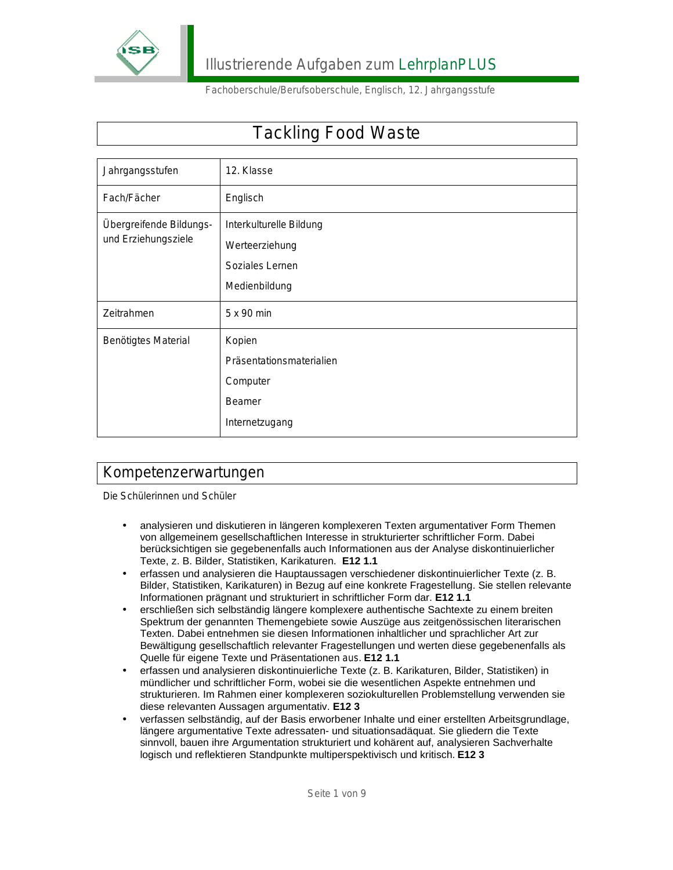

# Tackling Food Waste

| Jahrgangsstufen                                | 12. Klasse                                                                        |
|------------------------------------------------|-----------------------------------------------------------------------------------|
| Fach/Fächer                                    | Englisch                                                                          |
| Übergreifende Bildungs-<br>und Erziehungsziele | Interkulturelle Bildung<br>Werteerziehung<br>Soziales Lernen<br>Medienbildung     |
| Zeitrahmen                                     | 5 x 90 min                                                                        |
| Benötigtes Material                            | Kopien<br>Präsentationsmaterialien<br>Computer<br><b>Beamer</b><br>Internetzugang |

### Kompetenzerwartungen

Die Schülerinnen und Schüler

- analysieren und diskutieren in längeren komplexeren Texten argumentativer Form Themen von allgemeinem gesellschaftlichen Interesse in strukturierter schriftlicher Form. Dabei berücksichtigen sie gegebenenfalls auch Informationen aus der Analyse diskontinuierlicher Texte, z. B. Bilder, Statistiken, Karikaturen. **E12 1.1**
- erfassen und analysieren die Hauptaussagen verschiedener diskontinuierlicher Texte (z. B. Bilder, Statistiken, Karikaturen) in Bezug auf eine konkrete Fragestellung. Sie stellen relevante Informationen prägnant und strukturiert in schriftlicher Form dar. **E12 1.1**
- erschließen sich selbständig längere komplexere authentische Sachtexte zu einem breiten Spektrum der genannten Themengebiete sowie Auszüge aus zeitgenössischen literarischen Texten. Dabei entnehmen sie diesen Informationen inhaltlicher und sprachlicher Art zur Bewältigung gesellschaftlich relevanter Fragestellungen und werten diese gegebenenfalls als Quelle für eigene Texte und Präsentationen aus. **E12 1.1**
- erfassen und analysieren diskontinuierliche Texte (z. B. Karikaturen, Bilder, Statistiken) in mündlicher und schriftlicher Form, wobei sie die wesentlichen Aspekte entnehmen und strukturieren. Im Rahmen einer komplexeren soziokulturellen Problemstellung verwenden sie diese relevanten Aussagen argumentativ. **E12 3**
- verfassen selbständig, auf der Basis erworbener Inhalte und einer erstellten Arbeitsgrundlage, längere argumentative Texte adressaten- und situationsadäquat. Sie gliedern die Texte sinnvoll, bauen ihre Argumentation strukturiert und kohärent auf, analysieren Sachverhalte logisch und reflektieren Standpunkte multiperspektivisch und kritisch. **E12 3**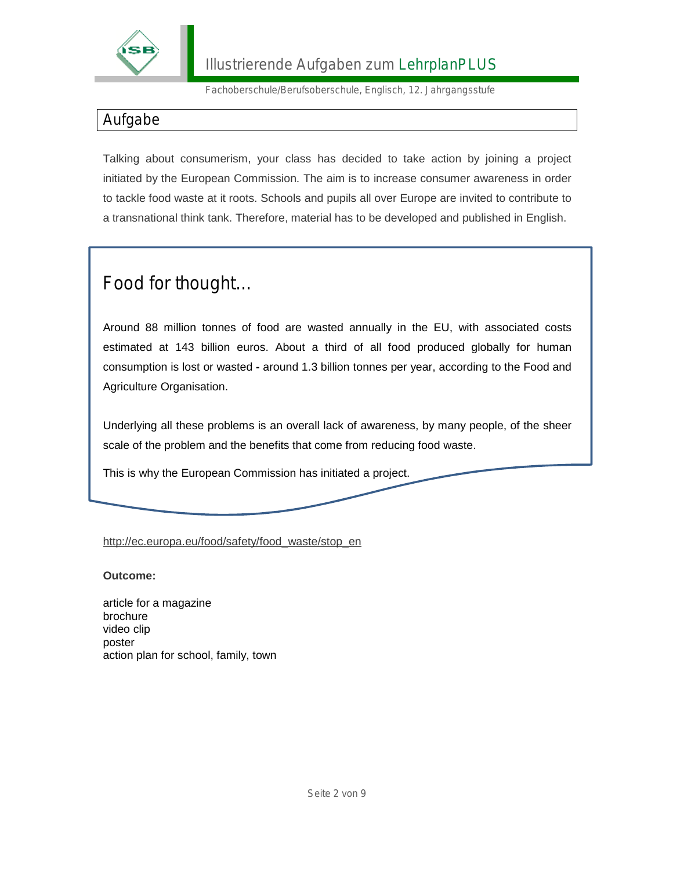

### Aufgabe

Talking about consumerism, your class has decided to take action by joining a project initiated by the European Commission. The aim is to increase consumer awareness in order to tackle food waste at it roots. Schools and pupils all over Europe are invited to contribute to a transnational think tank. Therefore, material has to be developed and published in English.

# Food for thought…

Around 88 million tonnes of food are wasted annually in the EU, with associated costs estimated at 143 billion euros. About a third of all food produced globally for human consumption is lost or wasted **-** around 1.3 billion tonnes per year, according to the Food and Agriculture Organisation.

Underlying all these problems is an overall lack of awareness, by many people, of the sheer scale of the problem and the benefits that come from reducing food waste.

This is why the European Commission has initiated a project.

[http://ec.europa.eu/food/safety/food\\_waste/stop\\_en](http://ec.europa.eu/food/safety/food_waste/stop_en)

#### **Outcome:**

article for a magazine brochure video clip poster action plan for school, family, town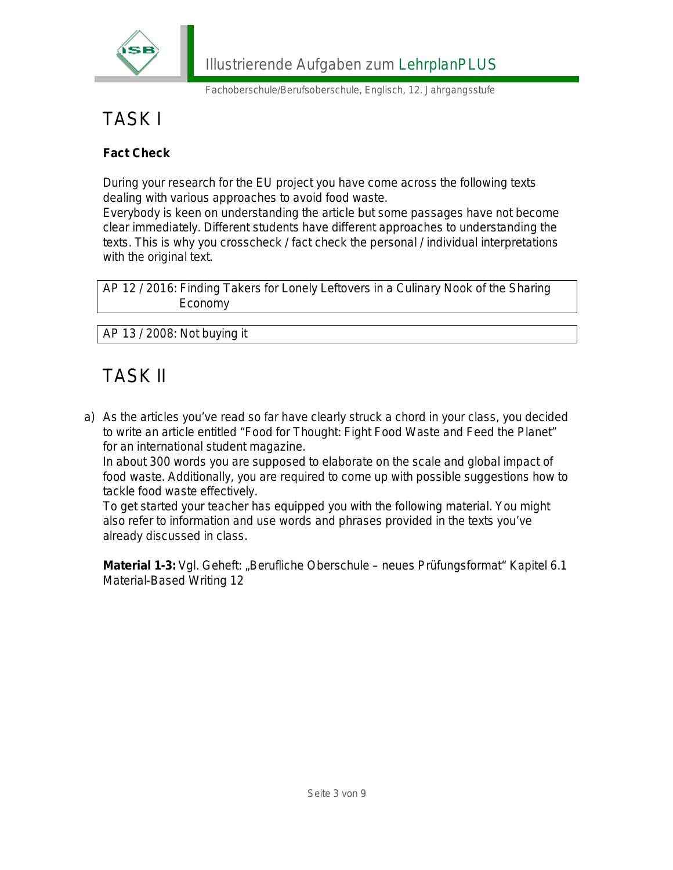

# TASK I

**Fact Check** 

During your research for the EU project you have come across the following texts dealing with various approaches to avoid food waste.

Everybody is keen on understanding the article but some passages have not become clear immediately. Different students have different approaches to understanding the texts. This is why you crosscheck / fact check the personal / individual interpretations with the original text.

AP 12 / 2016: Finding Takers for Lonely Leftovers in a Culinary Nook of the Sharing Economy

AP 13 / 2008: Not buying it

# TASK II

a) As the articles you've read so far have clearly struck a chord in your class, you decided to write an article entitled "Food for Thought: Fight Food Waste and Feed the Planet" for an international student magazine.

In about 300 words you are supposed to elaborate on the scale and global impact of food waste. Additionally, you are required to come up with possible suggestions how to tackle food waste effectively.

To get started your teacher has equipped you with the following material. You might also refer to information and use words and phrases provided in the texts you've already discussed in class.

**Material 1-3: Vgl. Geheft: "Berufliche Oberschule – neues Prüfungsformat" Kapitel 6.1** Material-Based Writing 12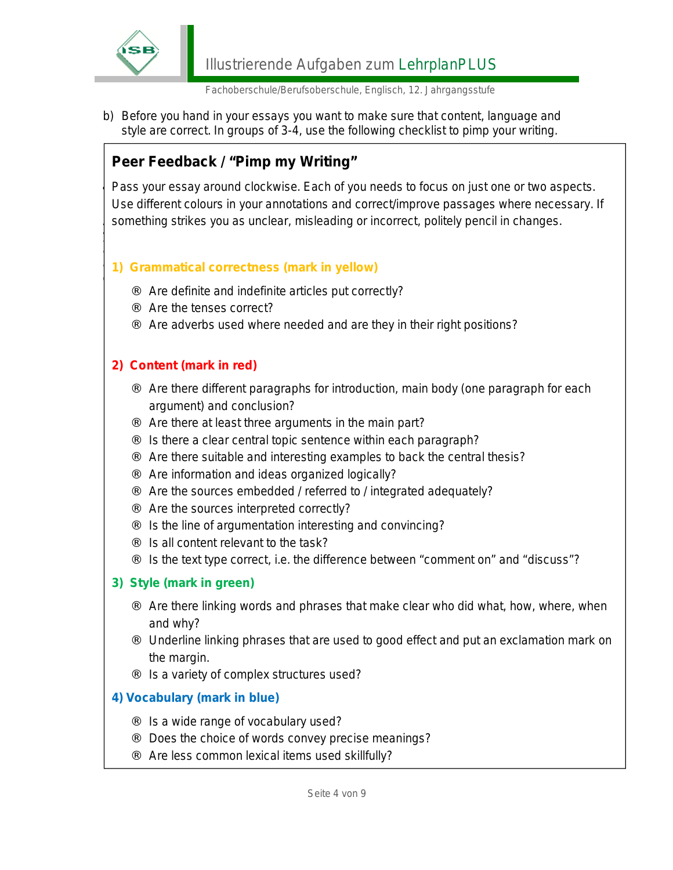

b) Before you hand in your essays you want to make sure that content, language and style are correct. In groups of 3-4, use the following checklist to pimp your writing.

 $y = c$  class has decided not only to contribute more to take  $\mathbb{R}$ action on a local level. Therefore, you want to turn you want to turn you want to turn you want to an interest

### **Peer Feedback / "Pimp my Writing"**

**TASK** Pass your essay around clockwise. Each of you needs to focus on just one or two aspects.<br>Likes different asleure in your ennotations and correct/impreus necessaes where necessary something strikes you as unclear, misleading or incorrect, politely pencil in changes. Use different colours in your annotations and correct/improve passages where necessary. If

#### $\overline{a}$  1) Grammatical correctness (mark in yellow) catching and thought-provoking exhibition at your school. **1) Grammatical correctness (mark in yellow)**

- Are definite and indefinite articles put correctly?
- $\Box$   $\Box$  Are the tenses correct?
	- $\frac{1}{2}$  for  $\frac{1}{2}$  for  $\frac{1}{2}$  for  $\frac{1}{2}$ ¨ Are adverbs used where needed and are they in their right positions?

#### 2) Content (mark in red)

- solutions <sup>1</sup> Are there different paragraphs for introduction, main body (one paragraph for each argument) and conclusion?
	- ¨ Are there at least three arguments in the main part?
- □ ∴ Is there a clear central topic sentence within each paragraph?
	- $\therefore$  Are there suitable and interesting examples to back the central thesis?
	- $\therefore$  Are information and ideas organized logically?
	- $\therefore$  Are the sources embedded / referred to / integrated adequately?
	- ... Are the sources interpreted correctly?
		- Is the line of argumentation interesting and convincing?
- $\frac{1}{2}$   $\frac{1}{2}$   $\frac{1}{2}$  results to the class of the class of the class  $\frac{1}{2}$ .  $\Box$  is all content relevant to the task?
	- $\therefore$  Is the text type correct, i.e. the difference between "comment on" and "discuss"?

#### **3) Style (mark in green)**

 $\overline{\phantom{a}}$ 

- Are there linking words and phrases that make clear who did what, how, where, when and why?
- Underline linking phrases that are used to good effect and put an exclamation mark on the margin.
- Is a variety of complex structures used?

#### **4) Vocabulary (mark in blue)**

- Is a wide range of vocabulary used?
- Does the choice of words convey precise meanings?
- Are less common lexical items used skillfully?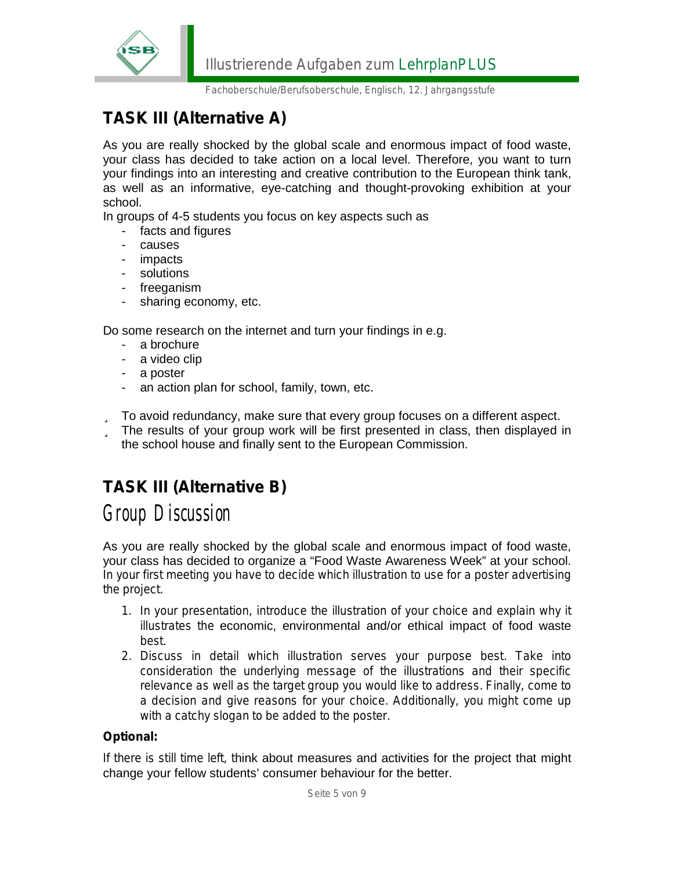

## **TASK III (Alternative A)**

As you are really shocked by the global scale and enormous impact of food waste, your class has decided to take action on a local level. Therefore, you want to turn your findings into an interesting and creative contribution to the European think tank, as well as an informative, eye-catching and thought-provoking exhibition at your school.

In groups of 4-5 students you focus on key aspects such as

- facts and figures
- causes
- impacts
- solutions
- freeganism
- sharing economy, etc.

Do some research on the internet and turn your findings in e.g.

- a brochure
- a video clip
- a poster
- an action plan for school, family, town, etc.
- ü To avoid redundancy, make sure that every group focuses on a different aspect.
- ü The results of your group work will be first presented in class, then displayed in the school house and finally sent to the European Commission.

### **TASK III (Alternative B)**

## *Group Discussion*

As you are really shocked by the global scale and enormous impact of food waste, your class has decided to organize a "Food Waste Awareness Week" at your school. In your first meeting you have to decide which illustration to use for a poster advertising the project.

- 1. In your presentation, introduce the illustration of your choice and explain why it illustrates the economic, environmental and/or ethical impact of food waste best.
- 2. Discuss in detail which illustration serves your purpose best. Take into consideration the underlying message of the illustrations and their specific relevance as well as the target group you would like to address. Finally, come to a decision and give reasons for your choice. Additionally, you might come up with a catchy slogan to be added to the poster.

#### **Optional:**

If there is still time left, think about measures and activities for the project that might change your fellow students' consumer behaviour for the better.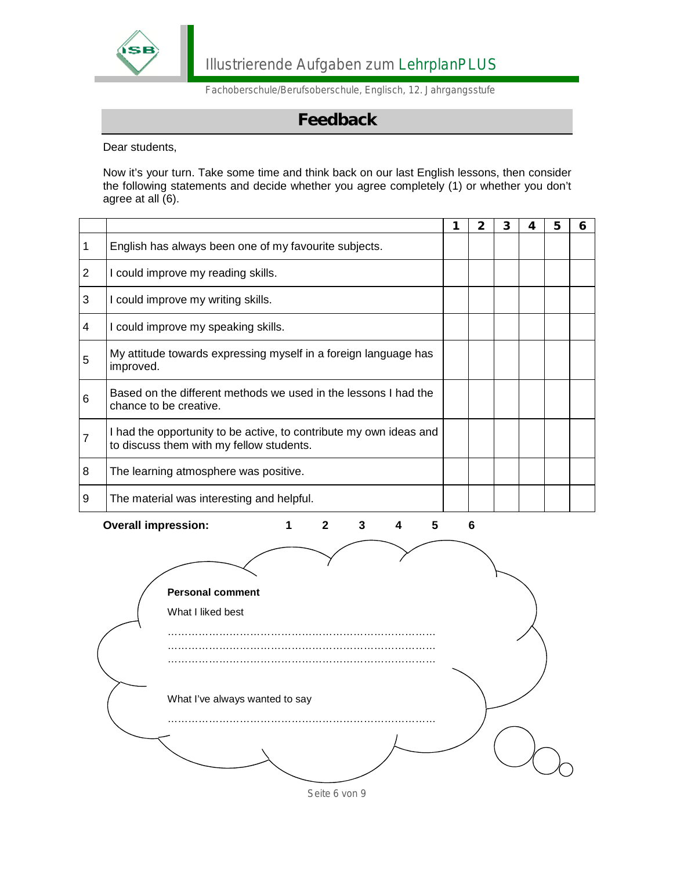

### **Feedback**

Dear students,

Now it's your turn. Take some time and think back on our last English lessons, then consider the following statements and decide whether you agree completely (1) or whether you don't agree at all (6).

|                |                                                                                                                | 1 | 2 | 3 | 4 | 5 | 6 |
|----------------|----------------------------------------------------------------------------------------------------------------|---|---|---|---|---|---|
| 1              | English has always been one of my favourite subjects.                                                          |   |   |   |   |   |   |
| $\overline{2}$ | I could improve my reading skills.                                                                             |   |   |   |   |   |   |
| 3              | I could improve my writing skills.                                                                             |   |   |   |   |   |   |
| 4              | I could improve my speaking skills.                                                                            |   |   |   |   |   |   |
| 5              | My attitude towards expressing myself in a foreign language has<br>improved.                                   |   |   |   |   |   |   |
| 6              | Based on the different methods we used in the lessons I had the<br>chance to be creative.                      |   |   |   |   |   |   |
|                | I had the opportunity to be active, to contribute my own ideas and<br>to discuss them with my fellow students. |   |   |   |   |   |   |
| 8              | The learning atmosphere was positive.                                                                          |   |   |   |   |   |   |
| 9              | The material was interesting and helpful.                                                                      |   |   |   |   |   |   |

**Overall impression: 1 2 3 4 5 6** 

**Personal comment**  What I liked best …………………………………………………………………… …………………………………………………………………… …………………………………………………………………… What I've always wanted to say …………………………………………………………………… . The contract of the contract of the contract of the contract of the contract of the contract of the contract of the contract of the contract of the contract of the contract of the contract of the contract of the contrac

Seite 6 von 9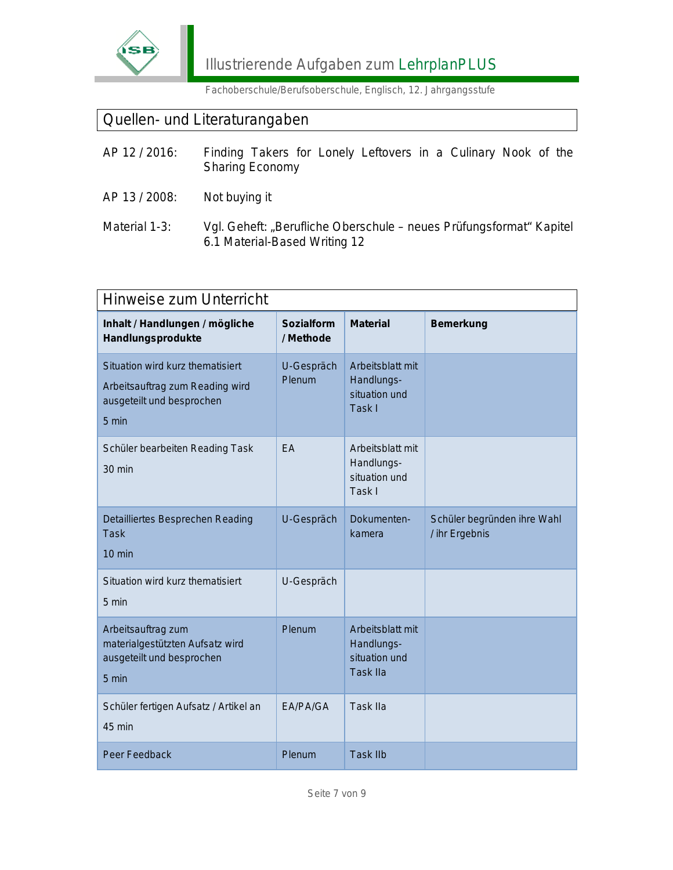

### Quellen- und Literaturangaben

| AP 12 / 2016: | Finding Takers for Lonely Leftovers in a Culinary Nook of the<br><b>Sharing Economy</b>              |  |  |  |  |
|---------------|------------------------------------------------------------------------------------------------------|--|--|--|--|
| AP 13 / 2008: | Not buying it                                                                                        |  |  |  |  |
| Material 1-3: | Vgl. Geheft: "Berufliche Oberschule – neues Prüfungsformat" Kapitel<br>6.1 Material-Based Writing 12 |  |  |  |  |

| <b>Hinweise zum Unterricht</b>                                                                            |                         |                                                                    |                                               |  |  |
|-----------------------------------------------------------------------------------------------------------|-------------------------|--------------------------------------------------------------------|-----------------------------------------------|--|--|
| Inhalt / Handlungen / mögliche<br>Handlungsprodukte                                                       | Sozialform<br>/ Methode | <b>Material</b>                                                    | Bemerkung                                     |  |  |
| Situation wird kurz thematisiert<br>Arbeitsauftrag zum Reading wird<br>ausgeteilt und besprochen<br>5 min | U-Gespräch<br>Plenum    | Arbeitsblatt mit<br>Handlungs-<br>situation und<br>Task I          |                                               |  |  |
| Schüler bearbeiten Reading Task<br>$30 \text{ min}$                                                       | EA                      | Arbeitsblatt mit<br>Handlungs-<br>situation und<br>Task I          |                                               |  |  |
| Detailliertes Besprechen Reading<br><b>Task</b><br>10 min                                                 | U-Gespräch              | Dokumenten-<br>kamera                                              | Schüler begründen ihre Wahl<br>/ ihr Ergebnis |  |  |
| Situation wird kurz thematisiert<br>5 min                                                                 | U-Gespräch              |                                                                    |                                               |  |  |
| Arbeitsauftrag zum<br>materialgestützten Aufsatz wird<br>ausgeteilt und besprochen<br>$5 \text{ min}$     | Plenum                  | Arbeitsblatt mit<br>Handlungs-<br>situation und<br><b>Task IIa</b> |                                               |  |  |
| Schüler fertigen Aufsatz / Artikel an<br>45 min                                                           | EA/PA/GA                | <b>Task IIa</b>                                                    |                                               |  |  |
| <b>Peer Feedback</b>                                                                                      | Plenum                  | <b>Task IIb</b>                                                    |                                               |  |  |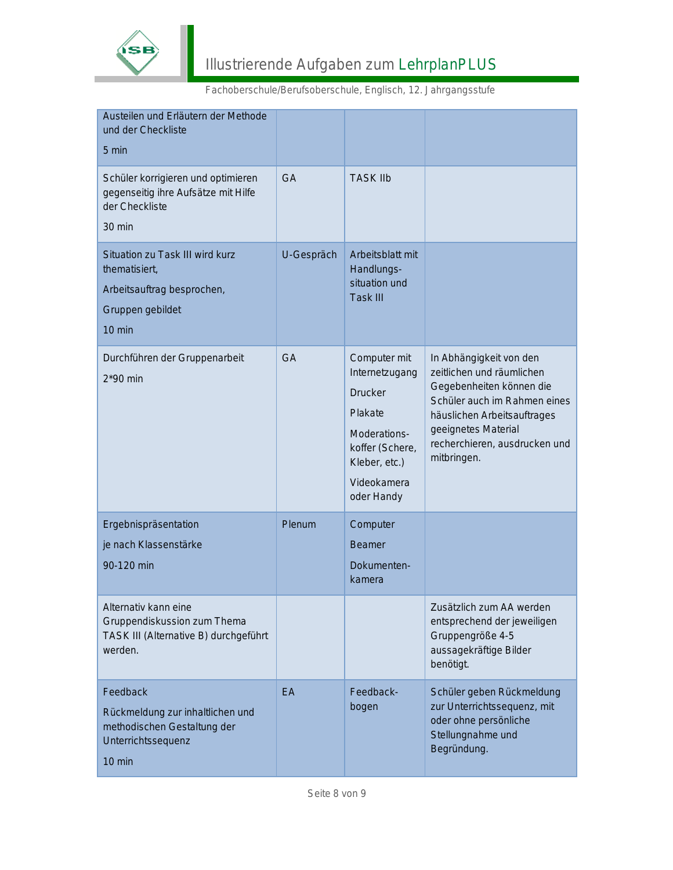

| Fachoberschule/Berufsoberschule, Englisch, 12. Jahrgangsstufe |  |  |
|---------------------------------------------------------------|--|--|
|---------------------------------------------------------------|--|--|

| Austeilen und Erläutern der Methode<br>und der Checkliste<br>5 min                                                     |            |                                                                                                                                       |                                                                                                                                                                                                                        |
|------------------------------------------------------------------------------------------------------------------------|------------|---------------------------------------------------------------------------------------------------------------------------------------|------------------------------------------------------------------------------------------------------------------------------------------------------------------------------------------------------------------------|
| Schüler korrigieren und optimieren<br>gegenseitig ihre Aufsätze mit Hilfe<br>der Checkliste<br>$30$ min                | <b>GA</b>  | <b>TASK IIb</b>                                                                                                                       |                                                                                                                                                                                                                        |
| Situation zu Task III wird kurz<br>thematisiert,<br>Arbeitsauftrag besprochen,<br>Gruppen gebildet<br>$10 \text{ min}$ | U-Gespräch | Arbeitsblatt mit<br>Handlungs-<br>situation und<br><b>Task III</b>                                                                    |                                                                                                                                                                                                                        |
| Durchführen der Gruppenarbeit<br>$2*90$ min                                                                            | <b>GA</b>  | Computer mit<br>Internetzugang<br>Drucker<br>Plakate<br>Moderations-<br>koffer (Schere,<br>Kleber, etc.)<br>Videokamera<br>oder Handy | In Abhängigkeit von den<br>zeitlichen und räumlichen<br>Gegebenheiten können die<br>Schüler auch im Rahmen eines<br>häuslichen Arbeitsauftrages<br>geeignetes Material<br>recherchieren, ausdrucken und<br>mitbringen. |
| Ergebnispräsentation<br>je nach Klassenstärke<br>90-120 min                                                            | Plenum     | Computer<br><b>Beamer</b><br>Dokumenten-<br>kamera                                                                                    |                                                                                                                                                                                                                        |
| Alternativ kann eine<br>Gruppendiskussion zum Thema<br>TASK III (Alternative B) durchgeführt<br>werden.                |            |                                                                                                                                       | Zusätzlich zum AA werden<br>entsprechend der jeweiligen<br>Gruppengröße 4-5<br>aussagekräftige Bilder<br>benötigt.                                                                                                     |
| Feedback<br>Rückmeldung zur inhaltlichen und<br>methodischen Gestaltung der<br>Unterrichtssequenz<br>$10 \text{ min}$  | EA         | Feedback-<br>bogen                                                                                                                    | Schüler geben Rückmeldung<br>zur Unterrichtssequenz, mit<br>oder ohne persönliche<br>Stellungnahme und<br>Begründung.                                                                                                  |